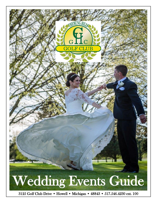

3125 Golf Club Drive • Howell • Michigan • 48843 • 517.546.4230 ext. 100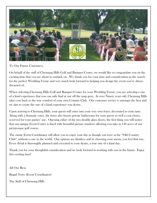

To Our Future Customers,

On behalf of the staff of Chemung Hills Golf and Banquet Center, we would like to congratulate you on the exciting time that you are about to embark on. We thank you for your time and consideration in the search for the perfect Wedding Venue and very much look forward to helping you design the event you've always dreamed of.

When selecting Chemung Hills Golf and Banquet Center for your Wedding Venue, you are selecting a one of a kind experience that you can only find at our off the map gem. At over Ninety years old, Chemung Hills takes you back to the true comfort of your own Country Club. Our customer service is amongst the best and we aim to create the one of a kind experience you desire.

Upon arriving to Chemung Hills, your guests will enter into your very own foyer, decorated to your taste. Along with a dramatic entry, the foyer also boasts private bathrooms for your guests as well a coat closet, reserved for your parties' use. Opening either of the two double glass doors, the first thing you will notice that our unique Event Center is lined with beautiful picture windows allowing you take in 140 acres of our picturesque golf course.

The onsite Event Coordinator will allow you to enjoy your day as though you were at the "Old Country Club", without a care in the world. Our options are limitless and in choosing your menu, you feel that way. Every detail is thoroughly planned and executed to your desire, a true one of a kind day.

Thank you for your thoughtful consideration and we look forward to working with you in the future. Enjoy this exciting time!

All Our Best,

Brigid Towe (Event Coordinator)

The Staff of Chemung Hills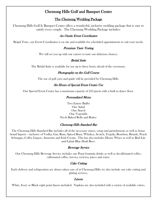# Chemung Hills Golf and Banquet Center

### The Chemung Wedding Package

Chemung Hills Golf & Banquet Center offers a wonderful, inclusive wedding package that is sure to satisfy every couple. The Chemung Wedding Package includes:

### An Onsite Event Coordinator

Brigid Towe, our Event Coordinator is on site and available for scheduled appointments to suit your needs.

#### Premium Taste Testing

We will set you up with our caterer to taste our delicious choices.

### Bridal Suite

The Bridal Suite is available for use up to three hours ahead of the ceremony.

### Photography on the Golf Course

The use of golf carts and guide will be provided by Chemung Hills.

### Six Hours of Special Event Center Use

Our Special Event Center has a maximum capacity of 250 guests with a built in dance floor.

#### Personalized Menu

Two Entrée Buffet One Salad One Starch One Vegetable Fresh Baked Rolls and Butter

#### Chemung Hills Standard Bar

The Chemung Hills Standard Bar includes all of the necessary mixes, setup and garnishments as well as house brand liquors – inclusive of Vodka, Gin, Rum, Spiced Rum, Whiskey, Scotch, Tequila, Bourbon, Brandy, Peach Schnapps, Coffee Liquor, Amaretto and Irish Cream. This bar also includes House Wines as well as Bud Lite and Labatt Blue Draft Beer.

#### Beverage Service

Our Chemung Hills Beverage Service includes our Pepsi fountain drinks as well as decaffeinated coffee, caffeinated coffee, hot tea, iced tea, juices and water.

### Cake Cutting

Early delivery and refrigeration are always taken care of at Chemung Hills; we also include our cake cutting and plating services.

### Linens

White, Ivory or Black eight point linens included. Napkins are also included with a variety of available colors.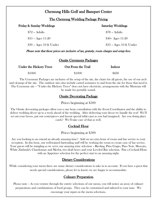# Chemung Hills Golf and Banquet Center

### The Chemung Wedding Package Pricing

| Friday & Sunday Weddings | <b>Saturday Weddings</b> |
|--------------------------|--------------------------|
| $$72$ – Adults           | \$78 - Adults            |
| $$35 - Ages 11-20$       | $$40 - Ages 11-20$       |
| $$30 - Ages 10 \& Under$ | \$33 - Ages 10 & Under   |

Please note that these prices are inclusive of tax, gratuity, room charges and setup fees.

### Onsite Ceremony Packages

| <b>Under the Hickory Trees</b> | Out From the Trail | <b>Indoor</b> |
|--------------------------------|--------------------|---------------|
| \$1000                         | \$1000             | \$600         |

The Ceremony Packages are inclusive of the setup of the site, the chairs for all guests, the use of our arch and cleanup of the site. The outdoor sites also include carted assistance to and from the site for those that need it. The Ceremony site – "Under the Hickory Trees" does not have electricity, arrangements with the Musician will be made for portable sound.

## Onsite Decorating Package

### Prices beginning at \$500

The Onsite decorating packages allow you a one hour consultation with the Event Coordinator and the ability to deliver wedding décor up to a week ahead of the wedding. After delivering your décor we handle the rest! We'll set out your favors, put out centerpieces and layout special tables just as you had imagined. Are you doing place cards? We'll take care of that as well.

## Cocktail Hour

### Prices beginning at \$500

Are you looking to an extend an already amazing time? Add on an extra hour of room and bar service to your reception. In this hour, our well-trained bartending staff will be working the room to create ease of bar service. Your guests will be mingling as we serve our amazing wine selection – Riesling, Pino Grigio, Pino Noir, Moscato, White Zinfandel, Chardonnay and Merlot, two draft beers and your Leveled Bar selection. Pair a Cocktail Hour with an Appetizer selection for the perfect start to an amazing night.

## Dietary Considerations

While considering your menu there are many dietary considerations to take in to account. If you have a guest that needs special considerations, please let us know; we are happy to accommodate.

## Culinary Preparation

Please note – As you venture through the entrée selections of our menu, you will notice an array of culinary preparations and combinations of food groups. They can be customized and tailored to your taste. We encourage your input on the menu selections.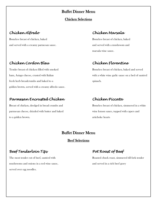## Buffet Dinner Menu

Chicken Selections

Boneless breast of chicken, baked Boneless breast of chicken, baked Boneless breast of chicken, baked Boneless breast of chicken, baked  $\overline{B}$ and served with a creamy parmesan sauce. And served with a mushroom and served with a mushroom and

# *Chicken Cordon Bleu Chicken Florentine*

Tender breast of chicken filled with smoked Boneless breast of chicken, baked and served fresh herb breadcrumbs and baked to a spinach. golden brown, served with a creamy alfredo sauce.

## *Parmesan Encrusted Chicken Chicken Piccata*

Breast of chicken, dredged in bread crumbs and Boneless breast of chicken, simmered in a white parmesan cheese, drizzled with butter and baked wine wine lemon sauce, topped with capers and to a golden brown. artichoke hearts

# *Chicken Alfredo Chicken Marsala*

marsala wine sauce.

ham, Asiago cheese, crusted with Italian with a white wine garlic sauce on a bed of sautéed

## Buffet Dinner Menu

### Beef Selections

# *Beef Tenderloin Tips Pot Roast of Beef*

mushrooms and onions in a red wine sauce, and served in a rich beef gravy served over egg noodles.

The most tender cut of beef, sautéed with Roasted chuck roast, simmered till fork tender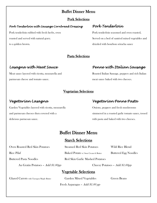# Buffet Dinner Menu

## Pork Selections

## *Pork Tenderloin with Sausage Cornbread Dressing Pork Tenderloin*

Pork tenderloin rubbed with fresh herbs, oven Pork tenderloin seasoned and oven roasted, to a golden brown. drizzled with bourbon sriracha sauce

roasted and served with natural gravy. Served on a bed of sautéed mixed vegetables and

## Pasta Selections

parmesan cheese and tomato sauce. meat sauce baked with two cheeses.

# *Lasagna with Meat Sauce Penne with Italian Sausage*

Meat sauce layered with ricotta, mozzarella and Roasted Italian Sausage, peppers and rich Italian

## Vegetarian Selections

Garden Vegetables layered with ricotta, mozzarella Onions, peppers and fresh mushrooms and parmesan cheeses then covered with a simmered in a roasted garlic tomato sauce, tossed delicious parmesan sauce.  $\blacksquare$ 

# *Vegetarian Lasagna Vegetarian Penne Pasta*

# Buffet Dinner Menu

# Starch Selections

Oven Roasted Red Skin Potatoes Steamed Red Skin Potatoes Wild Rice Blend

Rice Pilaf Baked Potato w/ Sour Cream & Butter Buttered Egg Noodles

### Buttered Pasta Noodles Red Skin Garlic Mashed Potatoes

Au Gratin Potatoes – Add \$1.00pp Cheesy Potatoes – Add \$1.00pp

# Vegetable Selections

Glazed Carrots with Tarragon Maple Butter Garden Mixed Vegetables Green Beans

Fresh Asparagus – Add \$1.00 pp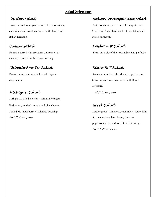## Salad Selections

Tossed mixed salad greens, with cherry tomatoes, Pasta noodles tossed in herbal vinaigrette with cucumbers and croutons, served with Ranch and Greek and Spanish olives, fresh vegetables and Italian Dressing. The contract of the contract of the contract of the grated parmesan.

cheese and served with Caesar dressing

# *Chipotle Bow Tie Salad Bistro BLT Salad*

mayonnaise. tomatoes and croutons, served with Ranch

# **Michigan Salad** Add \$1.00 per person

Spring Mix, dried cherries, mandarin oranges, Red onion, candied walnuts and bleu cheese, **Greek Salad** Add \$1.00 per person and the set of the Kalamata olives, feta cheese, beets and

# *Garden Salad Italian Cavatappi Pasta Salad*

# *Caesar Salad Fresh Fruit Salad*

Romaine tossed with croutons and parmesan Fresh cut fruits of the season, blended perfectly.

Bowtie pasta, fresh vegetables and chipotle **Romaine**, shredded cheddar, chopped bacon, Dressing.

Served with Raspberry Vinaigrette Dressing. Lettuce greens, tomatoes, cucumbers, red onions, pepperoncini, served with Greek Dressing. Add \$1.00 per person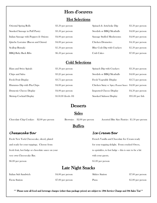# Hors d'oeuvres

## Hot Selections

| <b>Oriental Spring Rolls</b>          | \$3.50 per person  | Spinach & Artichoke Dip     | \$3.50 per person  |
|---------------------------------------|--------------------|-----------------------------|--------------------|
| Smoked Sausage in Puff Pastry         | \$3.50 per person  | Swedish or BBQ Meatballs    | \$4.00 per person  |
| Italian Sausage with Peppers & Onions | \$4.00 per person  | Sausage Stuffed Mushrooms   | \$4.00 per person  |
| Quiche Lorraine (Bacon and Onion)     | \$4.00 per person  | <b>Chicken Drumettes</b>    | \$4.50 per person  |
| Scallop Rumaki                        | $$5.50$ per person | Blue Crab Dip with Crackers | $$5.50$ per person |
| <b>BBQ Baby Back Ribs</b>             | $$6.50$ per person | Crab Cakes                  | $$7.00$ per person |

# Cold Selections

| Ham and Swiss Spirals      | $\$3.50$ per person  | Spinach Dip with Crackers                             | $$3.50$ per person |
|----------------------------|----------------------|-------------------------------------------------------|--------------------|
| Chips and Salsa            | \$3.25 per person    | Swedish or BBQ Meatballs                              | \$4.00 per person  |
| Fresh Fruit Display        | \$3.75 per person    | Fresh Vegetable Display                               | \$3.75 per person  |
| Hummus Dip with Pita Chips | \$4.00 per person    | Chicken Satay w/ Spicy Peanut Sauce \$4.00 per person |                    |
| Domestic Cheese Display    | \$4.00 per person    | <b>Imported Cheese Display</b>                        | \$4.50 per person  |
| Shrimp Cocktail Display    | $$150.00$ (feeds 50) | Smoked Salmon Display                                 | $$95.00$ per fish  |

# **Desserts**

# Sides

Chocolate Chip Cookies \$2.00 per person Brownies \$2.00 per person Assorted Bite Size Pastries \$5.50 per person

# **Buffets**

## *Cheesecake Bar Ice Cream Bar*

Fresh New York Cheesecake, sliced, plated and ready for your toppings. Choose from fresh fruit, hot fudge or chocolate sauce on your very own Cheesecake Bar. \$6.00 per person \$5.00 per person

| French Vanilla and Chocolate Ice Cream ready          |  |
|-------------------------------------------------------|--|
| for your topping delight. From crushed Oreos,         |  |
| to sprinkles, to hot fudge – this is sure to be a hit |  |
| with your guests.                                     |  |
| \$5.00 per person-                                    |  |

# Late Night Snacks

| Italian Sub Sandwich  | \$4.00 per person  | Sliders Station | $$7.00$ per person |
|-----------------------|--------------------|-----------------|--------------------|
| <b>Fiesta Station</b> | $$7.00$ per person | Pizza           | $$5.00$ per person |

\*\* Please note all food and beverage charges (other than package prices) are subject to 18% Service Charge and 6% Sales Tax\*\*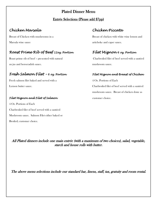# Plated Dinner Menu

## Entrée Selections (Please add \$7pp)

# *Chicken Marsala Chicken Piccata*

Marsala wine sauce artichoke and caper sauce.

# *Roast Prime Rib of Beef 12oz. Portion Filet Mignon 6 oz. Portion*

Roast prime rib of beef – presented with natural Charbroiled filet of beef served with a sautéed au jus and horseradish sauce. mushroom sauce.

# *Fresh Salmon Filet – 6 oz. Portion Filet Mignon and Breast of Chicken*

Fresh salmon filet baked and served with a 4 Oz. Portions of Each

## *Filet Mignon and Filet of Salmon* extends the customer choice.

4 Oz. Portions of Each Charbroiled filet of beef served with a sautéed Mushroom sauce. Salmon Filet either baked or Broiled; customer choice.

Breast of Chicken with mushrooms in a Breast of chicken with white wine lemon and

Lemon butter sauce. Charbroiled filet of beef served with a sautéed mushroom sauce. Breast of chicken done as

All Plated dinners include one main entrée (with a maximum of two choices), salad, vegetable, starch and house rolls with butter.

The above menu selections include our standard bar, linens, staff, tax, gratuity and room rental.